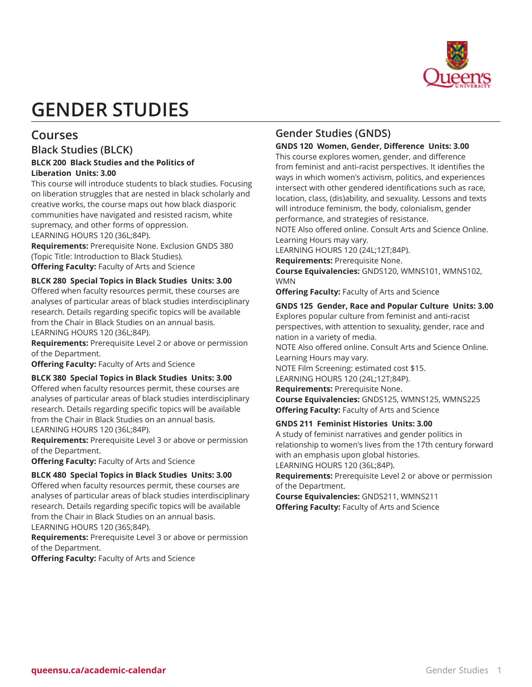

# **GENDER STUDIES**

# **Courses**

# **Black Studies (BLCK)**

#### **BLCK 200 Black Studies and the Politics of Liberation Units: 3.00**

This course will introduce students to black studies. Focusing on liberation struggles that are nested in black scholarly and creative works, the course maps out how black diasporic communities have navigated and resisted racism, white supremacy, and other forms of oppression. LEARNING HOURS 120 (36L;84P).

**Requirements:** Prerequisite None. Exclusion GNDS 380 (Topic Title: Introduction to Black Studies).

**Offering Faculty:** Faculty of Arts and Science

# **BLCK 280 Special Topics in Black Studies Units: 3.00**

Offered when faculty resources permit, these courses are analyses of particular areas of black studies interdisciplinary research. Details regarding specific topics will be available from the Chair in Black Studies on an annual basis. LEARNING HOURS 120 (36L;84P).

**Requirements:** Prerequisite Level 2 or above or permission of the Department.

**Offering Faculty:** Faculty of Arts and Science

#### **BLCK 380 Special Topics in Black Studies Units: 3.00**

Offered when faculty resources permit, these courses are analyses of particular areas of black studies interdisciplinary research. Details regarding specific topics will be available from the Chair in Black Studies on an annual basis. LEARNING HOURS 120 (36L;84P).

**Requirements:** Prerequisite Level 3 or above or permission of the Department.

**Offering Faculty:** Faculty of Arts and Science

#### **BLCK 480 Special Topics in Black Studies Units: 3.00**

Offered when faculty resources permit, these courses are analyses of particular areas of black studies interdisciplinary research. Details regarding specific topics will be available from the Chair in Black Studies on an annual basis. LEARNING HOURS 120 (36S;84P).

**Requirements:** Prerequisite Level 3 or above or permission of the Department.

**Offering Faculty:** Faculty of Arts and Science

# **Gender Studies (GNDS)**

#### **GNDS 120 Women, Gender, Difference Units: 3.00**

This course explores women, gender, and difference from feminist and anti-racist perspectives. It identifies the ways in which women's activism, politics, and experiences intersect with other gendered identifications such as race, location, class, (dis)ability, and sexuality. Lessons and texts will introduce feminism, the body, colonialism, gender performance, and strategies of resistance.

NOTE Also offered online. Consult Arts and Science Online. Learning Hours may vary.

LEARNING HOURS 120 (24L;12T;84P).

**Requirements:** Prerequisite None.

**Course Equivalencies:** GNDS120, WMNS101, WMNS102, WMN

**Offering Faculty:** Faculty of Arts and Science

#### **GNDS 125 Gender, Race and Popular Culture Units: 3.00**

Explores popular culture from feminist and anti-racist perspectives, with attention to sexuality, gender, race and nation in a variety of media.

NOTE Also offered online. Consult Arts and Science Online. Learning Hours may vary.

NOTE Film Screening: estimated cost \$15.

LEARNING HOURS 120 (24L;12T;84P).

**Requirements:** Prerequisite None.

**Course Equivalencies:** GNDS125, WMNS125, WMNS225 **Offering Faculty:** Faculty of Arts and Science

#### **GNDS 211 Feminist Histories Units: 3.00**

A study of feminist narratives and gender politics in relationship to women's lives from the 17th century forward with an emphasis upon global histories. LEARNING HOURS 120 (36L;84P).

**Requirements:** Prerequisite Level 2 or above or permission of the Department.

**Course Equivalencies:** GNDS211, WMNS211 **Offering Faculty:** Faculty of Arts and Science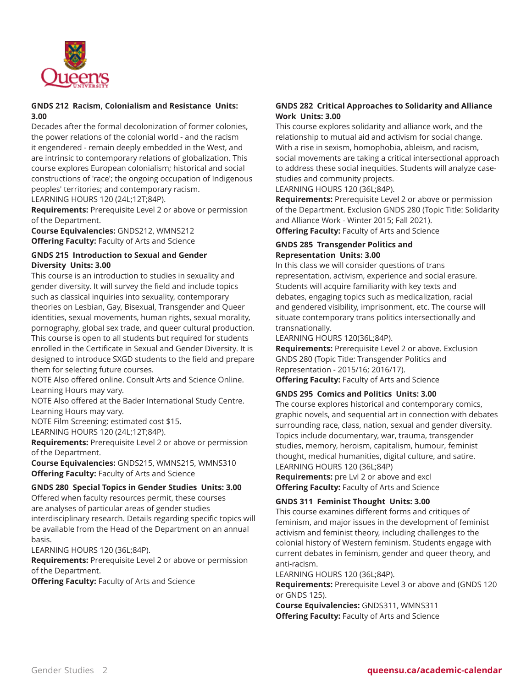

#### **GNDS 212 Racism, Colonialism and Resistance Units: 3.00**

Decades after the formal decolonization of former colonies, the power relations of the colonial world - and the racism it engendered - remain deeply embedded in the West, and are intrinsic to contemporary relations of globalization. This course explores European colonialism; historical and social constructions of 'race'; the ongoing occupation of Indigenous peoples' territories; and contemporary racism.

LEARNING HOURS 120 (24L;12T;84P).

**Requirements:** Prerequisite Level 2 or above or permission of the Department.

**Course Equivalencies:** GNDS212, WMNS212 **Offering Faculty:** Faculty of Arts and Science

#### **GNDS 215 Introduction to Sexual and Gender Diversity Units: 3.00**

This course is an introduction to studies in sexuality and gender diversity. It will survey the field and include topics such as classical inquiries into sexuality, contemporary theories on Lesbian, Gay, Bisexual, Transgender and Queer identities, sexual movements, human rights, sexual morality, pornography, global sex trade, and queer cultural production. This course is open to all students but required for students enrolled in the Certificate in Sexual and Gender Diversity. It is designed to introduce SXGD students to the field and prepare them for selecting future courses.

NOTE Also offered online. Consult Arts and Science Online. Learning Hours may vary.

NOTE Also offered at the Bader International Study Centre. Learning Hours may vary.

NOTE Film Screening: estimated cost \$15.

LEARNING HOURS 120 (24L;12T;84P).

**Requirements:** Prerequisite Level 2 or above or permission of the Department.

**Course Equivalencies:** GNDS215, WMNS215, WMNS310 **Offering Faculty:** Faculty of Arts and Science

#### **GNDS 280 Special Topics in Gender Studies Units: 3.00**

Offered when faculty resources permit, these courses are analyses of particular areas of gender studies interdisciplinary research. Details regarding specific topics will be available from the Head of the Department on an annual basis.

LEARNING HOURS 120 (36L;84P).

**Requirements:** Prerequisite Level 2 or above or permission of the Department.

**Offering Faculty:** Faculty of Arts and Science

# **GNDS 282 Critical Approaches to Solidarity and Alliance Work Units: 3.00**

This course explores solidarity and alliance work, and the relationship to mutual aid and activism for social change. With a rise in sexism, homophobia, ableism, and racism, social movements are taking a critical intersectional approach to address these social inequities. Students will analyze casestudies and community projects.

LEARNING HOURS 120 (36L;84P).

**Requirements:** Prerequisite Level 2 or above or permission of the Department. Exclusion GNDS 280 (Topic Title: Solidarity and Alliance Work - Winter 2015; Fall 2021). **Offering Faculty:** Faculty of Arts and Science

#### **GNDS 285 Transgender Politics and Representation Units: 3.00**

In this class we will consider questions of trans representation, activism, experience and social erasure. Students will acquire familiarity with key texts and debates, engaging topics such as medicalization, racial and gendered visibility, imprisonment, etc. The course will situate contemporary trans politics intersectionally and transnationally.

LEARNING HOURS 120(36L;84P).

**Requirements:** Prerequisite Level 2 or above. Exclusion GNDS 280 (Topic Title: Transgender Politics and Representation - 2015/16; 2016/17).

**Offering Faculty:** Faculty of Arts and Science

#### **GNDS 295 Comics and Politics Units: 3.00**

The course explores historical and contemporary comics, graphic novels, and sequential art in connection with debates surrounding race, class, nation, sexual and gender diversity. Topics include documentary, war, trauma, transgender studies, memory, heroism, capitalism, humour, feminist thought, medical humanities, digital culture, and satire. LEARNING HOURS 120 (36L;84P)

**Requirements:** pre Lvl 2 or above and excl **Offering Faculty:** Faculty of Arts and Science

# **GNDS 311 Feminist Thought Units: 3.00**

This course examines different forms and critiques of feminism, and major issues in the development of feminist activism and feminist theory, including challenges to the colonial history of Western feminism. Students engage with current debates in feminism, gender and queer theory, and anti-racism.

LEARNING HOURS 120 (36L;84P).

**Requirements:** Prerequisite Level 3 or above and (GNDS 120 or GNDS 125).

**Course Equivalencies:** GNDS311, WMNS311 **Offering Faculty:** Faculty of Arts and Science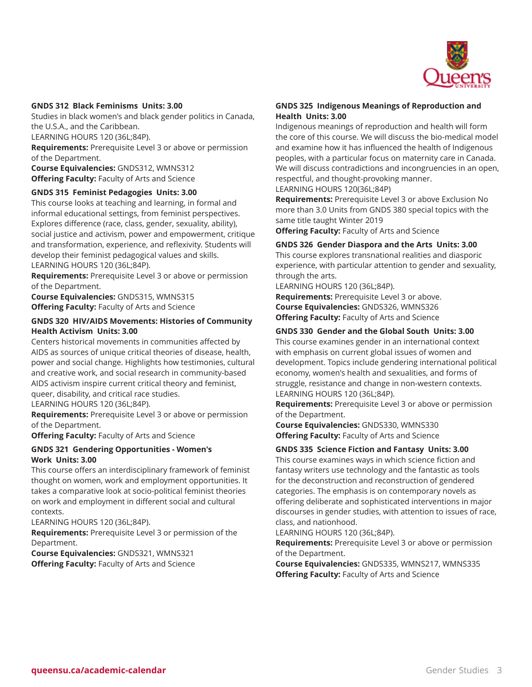

#### **GNDS 312 Black Feminisms Units: 3.00**

Studies in black women's and black gender politics in Canada, the U.S.A., and the Caribbean.

LEARNING HOURS 120 (36L;84P).

**Requirements:** Prerequisite Level 3 or above or permission of the Department.

**Course Equivalencies:** GNDS312, WMNS312 **Offering Faculty:** Faculty of Arts and Science

#### **GNDS 315 Feminist Pedagogies Units: 3.00**

This course looks at teaching and learning, in formal and informal educational settings, from feminist perspectives. Explores difference (race, class, gender, sexuality, ability), social justice and activism, power and empowerment, critique and transformation, experience, and reflexivity. Students will develop their feminist pedagogical values and skills. LEARNING HOURS 120 (36L;84P).

**Requirements:** Prerequisite Level 3 or above or permission of the Department.

**Course Equivalencies:** GNDS315, WMNS315 **Offering Faculty:** Faculty of Arts and Science

#### **GNDS 320 HIV/AIDS Movements: Histories of Community Health Activism Units: 3.00**

Centers historical movements in communities affected by AIDS as sources of unique critical theories of disease, health, power and social change. Highlights how testimonies, cultural and creative work, and social research in community-based AIDS activism inspire current critical theory and feminist, queer, disability, and critical race studies.

LEARNING HOURS 120 (36L;84P).

**Requirements:** Prerequisite Level 3 or above or permission of the Department.

**Offering Faculty:** Faculty of Arts and Science

#### **GNDS 321 Gendering Opportunities - Women's Work Units: 3.00**

This course offers an interdisciplinary framework of feminist thought on women, work and employment opportunities. It takes a comparative look at socio-political feminist theories on work and employment in different social and cultural contexts.

LEARNING HOURS 120 (36L;84P).

**Requirements:** Prerequisite Level 3 or permission of the Department.

**Course Equivalencies:** GNDS321, WMNS321 **Offering Faculty:** Faculty of Arts and Science

#### **GNDS 325 Indigenous Meanings of Reproduction and Health Units: 3.00**

Indigenous meanings of reproduction and health will form the core of this course. We will discuss the bio-medical model and examine how it has influenced the health of Indigenous peoples, with a particular focus on maternity care in Canada. We will discuss contradictions and incongruencies in an open, respectful, and thought-provoking manner.

LEARNING HOURS 120(36L;84P)

**Requirements:** Prerequisite Level 3 or above Exclusion No more than 3.0 Units from GNDS 380 special topics with the same title taught Winter 2019

**Offering Faculty:** Faculty of Arts and Science

#### **GNDS 326 Gender Diaspora and the Arts Units: 3.00** This course explores transnational realities and diasporic

experience, with particular attention to gender and sexuality, through the arts.

LEARNING HOURS 120 (36L;84P). **Requirements:** Prerequisite Level 3 or above. **Course Equivalencies:** GNDS326, WMNS326 **Offering Faculty:** Faculty of Arts and Science

#### **GNDS 330 Gender and the Global South Units: 3.00**

This course examines gender in an international context with emphasis on current global issues of women and development. Topics include gendering international political economy, women's health and sexualities, and forms of struggle, resistance and change in non-western contexts. LEARNING HOURS 120 (36L;84P).

**Requirements:** Prerequisite Level 3 or above or permission of the Department.

**Course Equivalencies:** GNDS330, WMNS330 **Offering Faculty:** Faculty of Arts and Science

# **GNDS 335 Science Fiction and Fantasy Units: 3.00**

This course examines ways in which science fiction and fantasy writers use technology and the fantastic as tools for the deconstruction and reconstruction of gendered categories. The emphasis is on contemporary novels as offering deliberate and sophisticated interventions in major discourses in gender studies, with attention to issues of race, class, and nationhood.

LEARNING HOURS 120 (36L;84P).

**Requirements:** Prerequisite Level 3 or above or permission of the Department.

**Course Equivalencies:** GNDS335, WMNS217, WMNS335 **Offering Faculty:** Faculty of Arts and Science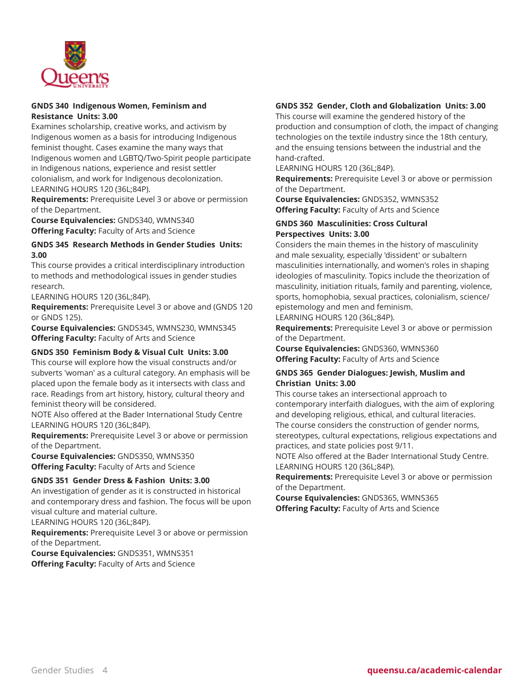

#### **GNDS 340 Indigenous Women, Feminism and Resistance Units: 3.00**

Examines scholarship, creative works, and activism by Indigenous women as a basis for introducing Indigenous feminist thought. Cases examine the many ways that Indigenous women and LGBTQ/Two-Spirit people participate in Indigenous nations, experience and resist settler colonialism, and work for Indigenous decolonization. LEARNING HOURS 120 (36L;84P).

**Requirements:** Prerequisite Level 3 or above or permission of the Department.

**Course Equivalencies:** GNDS340, WMNS340 **Offering Faculty:** Faculty of Arts and Science

## **GNDS 345 Research Methods in Gender Studies Units: 3.00**

This course provides a critical interdisciplinary introduction to methods and methodological issues in gender studies research.

LEARNING HOURS 120 (36L;84P).

**Requirements:** Prerequisite Level 3 or above and (GNDS 120 or GNDS 125).

**Course Equivalencies:** GNDS345, WMNS230, WMNS345 **Offering Faculty:** Faculty of Arts and Science

# **GNDS 350 Feminism Body & Visual Cult Units: 3.00**

This course will explore how the visual constructs and/or subverts 'woman' as a cultural category. An emphasis will be placed upon the female body as it intersects with class and race. Readings from art history, history, cultural theory and feminist theory will be considered.

NOTE Also offered at the Bader International Study Centre LEARNING HOURS 120 (36L;84P).

**Requirements:** Prerequisite Level 3 or above or permission of the Department.

**Course Equivalencies:** GNDS350, WMNS350 **Offering Faculty:** Faculty of Arts and Science

# **GNDS 351 Gender Dress & Fashion Units: 3.00**

An investigation of gender as it is constructed in historical and contemporary dress and fashion. The focus will be upon visual culture and material culture.

LEARNING HOURS 120 (36L;84P).

**Requirements:** Prerequisite Level 3 or above or permission of the Department.

**Course Equivalencies:** GNDS351, WMNS351 **Offering Faculty:** Faculty of Arts and Science

# **GNDS 352 Gender, Cloth and Globalization Units: 3.00**

This course will examine the gendered history of the production and consumption of cloth, the impact of changing technologies on the textile industry since the 18th century, and the ensuing tensions between the industrial and the hand-crafted.

LEARNING HOURS 120 (36L;84P).

**Requirements:** Prerequisite Level 3 or above or permission of the Department.

**Course Equivalencies:** GNDS352, WMNS352 **Offering Faculty:** Faculty of Arts and Science

#### **GNDS 360 Masculinities: Cross Cultural Perspectives Units: 3.00**

Considers the main themes in the history of masculinity and male sexuality, especially 'dissident' or subaltern masculinities internationally, and women's roles in shaping ideologies of masculinity. Topics include the theorization of masculinity, initiation rituals, family and parenting, violence, sports, homophobia, sexual practices, colonialism, science/ epistemology and men and feminism.

LEARNING HOURS 120 (36L;84P).

**Requirements:** Prerequisite Level 3 or above or permission of the Department.

**Course Equivalencies:** GNDS360, WMNS360 **Offering Faculty:** Faculty of Arts and Science

#### **GNDS 365 Gender Dialogues: Jewish, Muslim and Christian Units: 3.00**

This course takes an intersectional approach to contemporary interfaith dialogues, with the aim of exploring and developing religious, ethical, and cultural literacies. The course considers the construction of gender norms, stereotypes, cultural expectations, religious expectations and practices, and state policies post 9/11.

NOTE Also offered at the Bader International Study Centre. LEARNING HOURS 120 (36L;84P).

**Requirements:** Prerequisite Level 3 or above or permission of the Department.

**Course Equivalencies:** GNDS365, WMNS365 **Offering Faculty:** Faculty of Arts and Science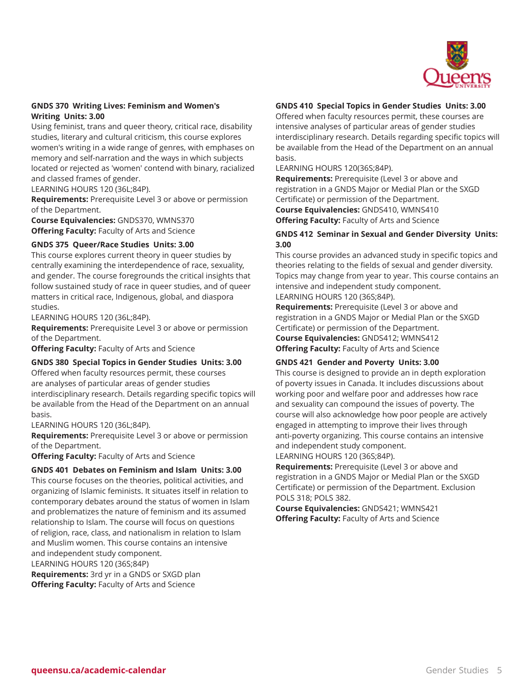

#### **GNDS 370 Writing Lives: Feminism and Women's Writing Units: 3.00**

Using feminist, trans and queer theory, critical race, disability studies, literary and cultural criticism, this course explores women's writing in a wide range of genres, with emphases on memory and self-narration and the ways in which subjects located or rejected as 'women' contend with binary, racialized and classed frames of gender.

LEARNING HOURS 120 (36L;84P).

**Requirements:** Prerequisite Level 3 or above or permission of the Department.

**Course Equivalencies:** GNDS370, WMNS370 **Offering Faculty:** Faculty of Arts and Science

## **GNDS 375 Queer/Race Studies Units: 3.00**

This course explores current theory in queer studies by centrally examining the interdependence of race, sexuality, and gender. The course foregrounds the critical insights that follow sustained study of race in queer studies, and of queer matters in critical race, Indigenous, global, and diaspora studies.

LEARNING HOURS 120 (36L;84P).

**Requirements:** Prerequisite Level 3 or above or permission of the Department.

**Offering Faculty:** Faculty of Arts and Science

#### **GNDS 380 Special Topics in Gender Studies Units: 3.00**

Offered when faculty resources permit, these courses are analyses of particular areas of gender studies interdisciplinary research. Details regarding specific topics will be available from the Head of the Department on an annual basis.

LEARNING HOURS 120 (36L;84P).

**Requirements:** Prerequisite Level 3 or above or permission of the Department.

**Offering Faculty:** Faculty of Arts and Science

#### **GNDS 401 Debates on Feminism and Islam Units: 3.00**

This course focuses on the theories, political activities, and organizing of Islamic feminists. It situates itself in relation to contemporary debates around the status of women in Islam and problematizes the nature of feminism and its assumed relationship to Islam. The course will focus on questions of religion, race, class, and nationalism in relation to Islam and Muslim women. This course contains an intensive and independent study component. LEARNING HOURS 120 (36S;84P) **Requirements:** 3rd yr in a GNDS or SXGD plan **Offering Faculty:** Faculty of Arts and Science

## **GNDS 410 Special Topics in Gender Studies Units: 3.00**

Offered when faculty resources permit, these courses are intensive analyses of particular areas of gender studies interdisciplinary research. Details regarding specific topics will be available from the Head of the Department on an annual basis.

LEARNING HOURS 120(36S;84P).

**Requirements:** Prerequisite (Level 3 or above and registration in a GNDS Major or Medial Plan or the SXGD Certificate) or permission of the Department. **Course Equivalencies:** GNDS410, WMNS410 **Offering Faculty:** Faculty of Arts and Science

#### **GNDS 412 Seminar in Sexual and Gender Diversity Units: 3.00**

This course provides an advanced study in specific topics and theories relating to the fields of sexual and gender diversity. Topics may change from year to year. This course contains an intensive and independent study component. LEARNING HOURS 120 (36S;84P).

**Requirements:** Prerequisite (Level 3 or above and registration in a GNDS Major or Medial Plan or the SXGD Certificate) or permission of the Department. **Course Equivalencies:** GNDS412; WMNS412 **Offering Faculty:** Faculty of Arts and Science

#### **GNDS 421 Gender and Poverty Units: 3.00**

This course is designed to provide an in depth exploration of poverty issues in Canada. It includes discussions about working poor and welfare poor and addresses how race and sexuality can compound the issues of poverty. The course will also acknowledge how poor people are actively engaged in attempting to improve their lives through anti-poverty organizing. This course contains an intensive and independent study component.

LEARNING HOURS 120 (36S;84P).

**Requirements:** Prerequisite (Level 3 or above and registration in a GNDS Major or Medial Plan or the SXGD Certificate) or permission of the Department. Exclusion POLS 318; POLS 382.

**Course Equivalencies:** GNDS421; WMNS421 **Offering Faculty:** Faculty of Arts and Science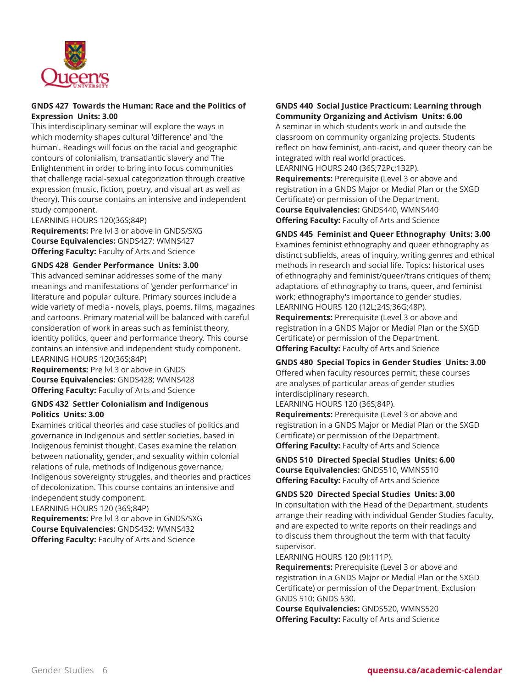

## **GNDS 427 Towards the Human: Race and the Politics of Expression Units: 3.00**

This interdisciplinary seminar will explore the ways in which modernity shapes cultural 'difference' and 'the human'. Readings will focus on the racial and geographic contours of colonialism, transatlantic slavery and The Enlightenment in order to bring into focus communities that challenge racial-sexual categorization through creative expression (music, fiction, poetry, and visual art as well as theory). This course contains an intensive and independent study component.

LEARNING HOURS 120(36S;84P)

**Requirements:** Pre lvl 3 or above in GNDS/SXG **Course Equivalencies:** GNDS427; WMNS427 **Offering Faculty:** Faculty of Arts and Science

#### **GNDS 428 Gender Performance Units: 3.00**

This advanced seminar addresses some of the many meanings and manifestations of 'gender performance' in literature and popular culture. Primary sources include a wide variety of media - novels, plays, poems, films, magazines and cartoons. Primary material will be balanced with careful consideration of work in areas such as feminist theory, identity politics, queer and performance theory. This course contains an intensive and independent study component. LEARNING HOURS 120(36S;84P)

**Requirements:** Pre lvl 3 or above in GNDS **Course Equivalencies:** GNDS428; WMNS428 **Offering Faculty:** Faculty of Arts and Science

#### **GNDS 432 Settler Colonialism and Indigenous Politics Units: 3.00**

Examines critical theories and case studies of politics and governance in Indigenous and settler societies, based in Indigenous feminist thought. Cases examine the relation between nationality, gender, and sexuality within colonial relations of rule, methods of Indigenous governance, Indigenous sovereignty struggles, and theories and practices of decolonization. This course contains an intensive and independent study component. LEARNING HOURS 120 (36S;84P) **Requirements:** Pre lvl 3 or above in GNDS/SXG

**Course Equivalencies:** GNDS432; WMNS432 **Offering Faculty:** Faculty of Arts and Science

#### **GNDS 440 Social Justice Practicum: Learning through Community Organizing and Activism Units: 6.00**

A seminar in which students work in and outside the classroom on community organizing projects. Students reflect on how feminist, anti-racist, and queer theory can be integrated with real world practices.

LEARNING HOURS 240 (36S;72Pc;132P).

**Requirements:** Prerequisite (Level 3 or above and registration in a GNDS Major or Medial Plan or the SXGD Certificate) or permission of the Department. **Course Equivalencies:** GNDS440, WMNS440 **Offering Faculty:** Faculty of Arts and Science

#### **GNDS 445 Feminist and Queer Ethnography Units: 3.00**

Examines feminist ethnography and queer ethnography as distinct subfields, areas of inquiry, writing genres and ethical methods in research and social life. Topics: historical uses of ethnography and feminist/queer/trans critiques of them; adaptations of ethnography to trans, queer, and feminist work; ethnography's importance to gender studies. LEARNING HOURS 120 (12L;24S;36G;48P).

**Requirements:** Prerequisite (Level 3 or above and registration in a GNDS Major or Medial Plan or the SXGD Certificate) or permission of the Department. **Offering Faculty:** Faculty of Arts and Science

#### **GNDS 480 Special Topics in Gender Studies Units: 3.00**

Offered when faculty resources permit, these courses are analyses of particular areas of gender studies interdisciplinary research.

LEARNING HOURS 120 (36S;84P).

**Requirements:** Prerequisite (Level 3 or above and registration in a GNDS Major or Medial Plan or the SXGD Certificate) or permission of the Department. **Offering Faculty:** Faculty of Arts and Science

**GNDS 510 Directed Special Studies Units: 6.00 Course Equivalencies:** GNDS510, WMNS510 **Offering Faculty:** Faculty of Arts and Science

#### **GNDS 520 Directed Special Studies Units: 3.00**

In consultation with the Head of the Department, students arrange their reading with individual Gender Studies faculty, and are expected to write reports on their readings and to discuss them throughout the term with that faculty supervisor.

LEARNING HOURS 120 (9I;111P).

**Requirements:** Prerequisite (Level 3 or above and registration in a GNDS Major or Medial Plan or the SXGD Certificate) or permission of the Department. Exclusion GNDS 510; GNDS 530.

**Course Equivalencies:** GNDS520, WMNS520 **Offering Faculty:** Faculty of Arts and Science